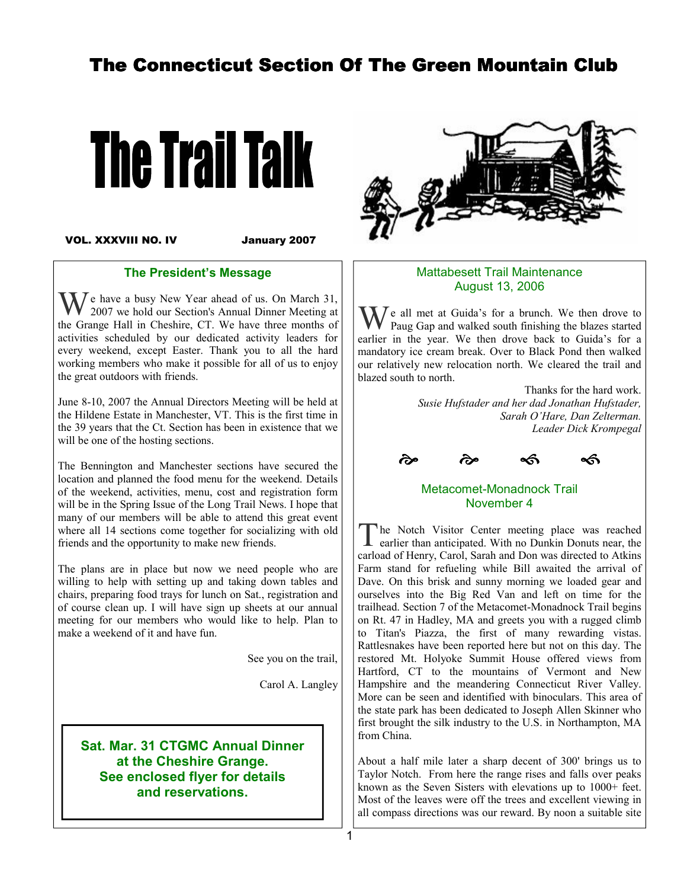# The Connecticut Section Of The Green Mountain Club



VOL. XXXVIII NO. IV

January 2007

#### The President's Message

We have a busy New Year ahead of us. On March 31,<br>
2007 we hold our Section's Annual Dinner Meeting at the Grange Hall in Cheshire, CT. We have three months of activities scheduled by our dedicated activity leaders for every weekend, except Easter. Thank you to all the hard working members who make it possible for all of us to enjoy the great outdoors with friends.

June 8-10, 2007 the Annual Directors Meeting will be held at the Hildene Estate in Manchester, VT. This is the first time in the 39 years that the Ct. Section has been in existence that we will be one of the hosting sections.

The Bennington and Manchester sections have secured the location and planned the food menu for the weekend. Details of the weekend, activities, menu, cost and registration form will be in the Spring Issue of the Long Trail News. I hope that many of our members will be able to attend this great event where all 14 sections come together for socializing with old friends and the opportunity to make new friends.

The plans are in place but now we need people who are willing to help with setting up and taking down tables and chairs, preparing food trays for lunch on Sat., registration and of course clean up. I will have sign up sheets at our annual meeting for our members who would like to help. Plan to make a weekend of it and have fun.

See you on the trail,

Carol A. Langley

# Sat. Mar. 31 CTGMC Annual Dinner at the Cheshire Grange. See enclosed flyer for details and reservations.



#### Mattabesett Trail Maintenance August 13, 2006

 $\int e$  all met at Guida's for a brunch. We then drove to Paug Gap and walked south finishing the blazes started earlier in the year. We then drove back to Guida's for a mandatory ice cream break. Over to Black Pond then walked our relatively new relocation north. We cleared the trail and blazed south to north.

> Thanks for the hard work. Susie Hufstader and her dad Jonathan Hufstader, Sarah O'Hare, Dan Zelterman. Leader Dick Krompegal



#### Metacomet-Monadnock Trail November 4

The Notch Visitor Center meeting place was reached earlier than anticipated. With no Dunkin Donuts near, the carload of Henry, Carol, Sarah and Don was directed to Atkins Farm stand for refueling while Bill awaited the arrival of Dave. On this brisk and sunny morning we loaded gear and ourselves into the Big Red Van and left on time for the trailhead. Section 7 of the Metacomet-Monadnock Trail begins on Rt. 47 in Hadley, MA and greets you with a rugged climb to Titan's Piazza, the first of many rewarding vistas. Rattlesnakes have been reported here but not on this day. The restored Mt. Holyoke Summit House offered views from Hartford, CT to the mountains of Vermont and New Hampshire and the meandering Connecticut River Valley. More can be seen and identified with binoculars. This area of the state park has been dedicated to Joseph Allen Skinner who first brought the silk industry to the U.S. in Northampton, MA from China.

About a half mile later a sharp decent of 300' brings us to Taylor Notch. From here the range rises and falls over peaks known as the Seven Sisters with elevations up to 1000+ feet. Most of the leaves were off the trees and excellent viewing in all compass directions was our reward. By noon a suitable site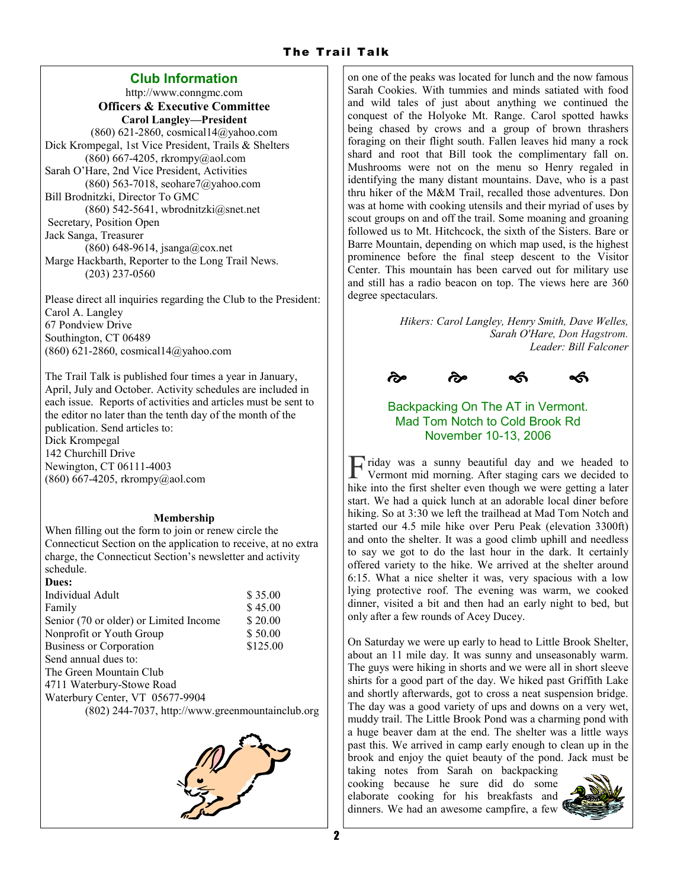# Club Information

http://www.conngmc.com Officers & Executive Committee Carol Langley—President (860) 621-2860, cosmical14@yahoo.com Dick Krompegal, 1st Vice President, Trails & Shelters  $(860)$  667-4205, rkrompy@aol.com Sarah O'Hare, 2nd Vice President, Activities (860) 563-7018, seohare7@yahoo.com Bill Brodnitzki, Director To GMC  $(860)$  542-5641, wbrodnitzki $@$ snet.net Secretary, Position Open Jack Sanga, Treasurer (860) 648-9614, jsanga@cox.net Marge Hackbarth, Reporter to the Long Trail News. (203) 237-0560

Please direct all inquiries regarding the Club to the President: Carol A. Langley 67 Pondview Drive Southington, CT 06489 (860) 621-2860, cosmical14@yahoo.com

The Trail Talk is published four times a year in January, April, July and October. Activity schedules are included in each issue. Reports of activities and articles must be sent to the editor no later than the tenth day of the month of the publication. Send articles to: Dick Krompegal 142 Churchill Drive Newington, CT 06111-4003  $(860)$  667-4205, rkrompy@aol.com

### Membership

When filling out the form to join or renew circle the Connecticut Section on the application to receive, at no extra charge, the Connecticut Section's newsletter and activity schedule.

| Dues:                                            |          |
|--------------------------------------------------|----------|
| Individual Adult                                 | \$35.00  |
| Family                                           | \$45.00  |
| Senior (70 or older) or Limited Income           | \$20.00  |
| Nonprofit or Youth Group                         | \$50.00  |
| Business or Corporation                          | \$125.00 |
| Send annual dues to:                             |          |
| The Green Mountain Club                          |          |
| 4711 Waterbury-Stowe Road                        |          |
| Waterbury Center, VT 05677-9904                  |          |
| (802) 244-7037, http://www.greenmountainclub.org |          |
|                                                  |          |



on one of the peaks was located for lunch and the now famous Sarah Cookies. With tummies and minds satiated with food and wild tales of just about anything we continued the conquest of the Holyoke Mt. Range. Carol spotted hawks being chased by crows and a group of brown thrashers foraging on their flight south. Fallen leaves hid many a rock shard and root that Bill took the complimentary fall on. Mushrooms were not on the menu so Henry regaled in identifying the many distant mountains. Dave, who is a past thru hiker of the M&M Trail, recalled those adventures. Don was at home with cooking utensils and their myriad of uses by scout groups on and off the trail. Some moaning and groaning followed us to Mt. Hitchcock, the sixth of the Sisters. Bare or Barre Mountain, depending on which map used, is the highest prominence before the final steep descent to the Visitor Center. This mountain has been carved out for military use and still has a radio beacon on top. The views here are 360 degree spectaculars.

> Hikers: Carol Langley, Henry Smith, Dave Welles, Sarah O'Hare, Don Hagstrom. Leader: Bill Falconer



# Backpacking On The AT in Vermont. Mad Tom Notch to Cold Brook Rd November 10-13, 2006

F riday was a sunny beautiful day and we headed to<br>Vermont mid morning A 0 Vermont mid morning. After staging cars we decided to hike into the first shelter even though we were getting a later start. We had a quick lunch at an adorable local diner before hiking. So at 3:30 we left the trailhead at Mad Tom Notch and started our 4.5 mile hike over Peru Peak (elevation 3300ft) and onto the shelter. It was a good climb uphill and needless to say we got to do the last hour in the dark. It certainly offered variety to the hike. We arrived at the shelter around 6:15. What a nice shelter it was, very spacious with a low lying protective roof. The evening was warm, we cooked dinner, visited a bit and then had an early night to bed, but only after a few rounds of Acey Ducey.

On Saturday we were up early to head to Little Brook Shelter, about an 11 mile day. It was sunny and unseasonably warm. The guys were hiking in shorts and we were all in short sleeve shirts for a good part of the day. We hiked past Griffith Lake and shortly afterwards, got to cross a neat suspension bridge. The day was a good variety of ups and downs on a very wet, muddy trail. The Little Brook Pond was a charming pond with a huge beaver dam at the end. The shelter was a little ways past this. We arrived in camp early enough to clean up in the brook and enjoy the quiet beauty of the pond. Jack must be

taking notes from Sarah on backpacking cooking because he sure did do some elaborate cooking for his breakfasts and dinners. We had an awesome campfire, a few

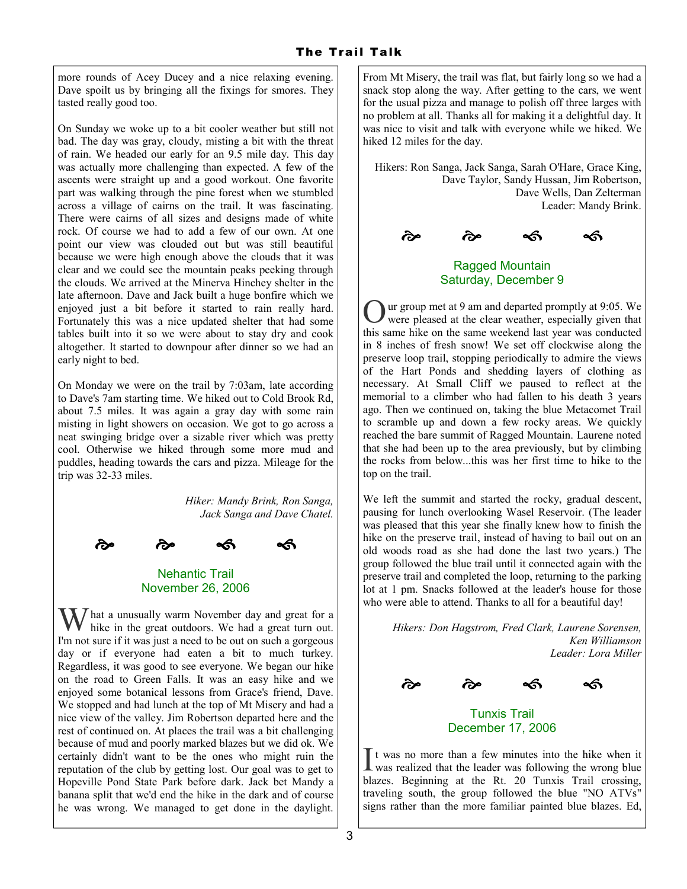more rounds of Acey Ducey and a nice relaxing evening. Dave spoilt us by bringing all the fixings for smores. They tasted really good too.

On Sunday we woke up to a bit cooler weather but still not bad. The day was gray, cloudy, misting a bit with the threat of rain. We headed our early for an 9.5 mile day. This day was actually more challenging than expected. A few of the ascents were straight up and a good workout. One favorite part was walking through the pine forest when we stumbled across a village of cairns on the trail. It was fascinating. There were cairns of all sizes and designs made of white rock. Of course we had to add a few of our own. At one point our view was clouded out but was still beautiful because we were high enough above the clouds that it was clear and we could see the mountain peaks peeking through the clouds. We arrived at the Minerva Hinchey shelter in the late afternoon. Dave and Jack built a huge bonfire which we enjoyed just a bit before it started to rain really hard. Fortunately this was a nice updated shelter that had some tables built into it so we were about to stay dry and cook altogether. It started to downpour after dinner so we had an early night to bed.

On Monday we were on the trail by 7:03am, late according to Dave's 7am starting time. We hiked out to Cold Brook Rd, about 7.5 miles. It was again a gray day with some rain misting in light showers on occasion. We got to go across a neat swinging bridge over a sizable river which was pretty cool. Otherwise we hiked through some more mud and puddles, heading towards the cars and pizza. Mileage for the trip was 32-33 miles.

> Hiker: Mandy Brink, Ron Sanga, Jack Sanga and Dave Chatel.





### Nehantic Trail November 26, 2006

I hat a unusually warm November day and great for a hike in the great outdoors. We had a great turn out. I'm not sure if it was just a need to be out on such a gorgeous day or if everyone had eaten a bit to much turkey. Regardless, it was good to see everyone. We began our hike on the road to Green Falls. It was an easy hike and we enjoyed some botanical lessons from Grace's friend, Dave. We stopped and had lunch at the top of Mt Misery and had a nice view of the valley. Jim Robertson departed here and the rest of continued on. At places the trail was a bit challenging because of mud and poorly marked blazes but we did ok. We certainly didn't want to be the ones who might ruin the reputation of the club by getting lost. Our goal was to get to Hopeville Pond State Park before dark. Jack bet Mandy a banana split that we'd end the hike in the dark and of course he was wrong. We managed to get done in the daylight.

From Mt Misery, the trail was flat, but fairly long so we had a snack stop along the way. After getting to the cars, we went for the usual pizza and manage to polish off three larges with no problem at all. Thanks all for making it a delightful day. It was nice to visit and talk with everyone while we hiked. We hiked 12 miles for the day.

Hikers: Ron Sanga, Jack Sanga, Sarah O'Hare, Grace King, Dave Taylor, Sandy Hussan, Jim Robertson, Dave Wells, Dan Zelterman Leader: Mandy Brink.



## Ragged Mountain Saturday, December 9

are group met at 9 am and departed promptly at 9:05. We were pleased at the clear weather, especially given that this same hike on the same weekend last year was conducted in 8 inches of fresh snow! We set off clockwise along the preserve loop trail, stopping periodically to admire the views of the Hart Ponds and shedding layers of clothing as necessary. At Small Cliff we paused to reflect at the memorial to a climber who had fallen to his death 3 years ago. Then we continued on, taking the blue Metacomet Trail to scramble up and down a few rocky areas. We quickly reached the bare summit of Ragged Mountain. Laurene noted that she had been up to the area previously, but by climbing the rocks from below...this was her first time to hike to the top on the trail.

We left the summit and started the rocky, gradual descent, pausing for lunch overlooking Wasel Reservoir. (The leader was pleased that this year she finally knew how to finish the hike on the preserve trail, instead of having to bail out on an old woods road as she had done the last two years.) The group followed the blue trail until it connected again with the preserve trail and completed the loop, returning to the parking lot at 1 pm. Snacks followed at the leader's house for those who were able to attend. Thanks to all for a beautiful day!

> Hikers: Don Hagstrom, Fred Clark, Laurene Sorensen, Ken Williamson Leader: Lora Miller



Tunxis Trail December 17, 2006

It was no more than a few minutes into the hike when it  $\mathbf I$  was realized that the leader was following the wrong blue blazes. Beginning at the Rt. 20 Tunxis Trail crossing, traveling south, the group followed the blue "NO ATVs" signs rather than the more familiar painted blue blazes. Ed,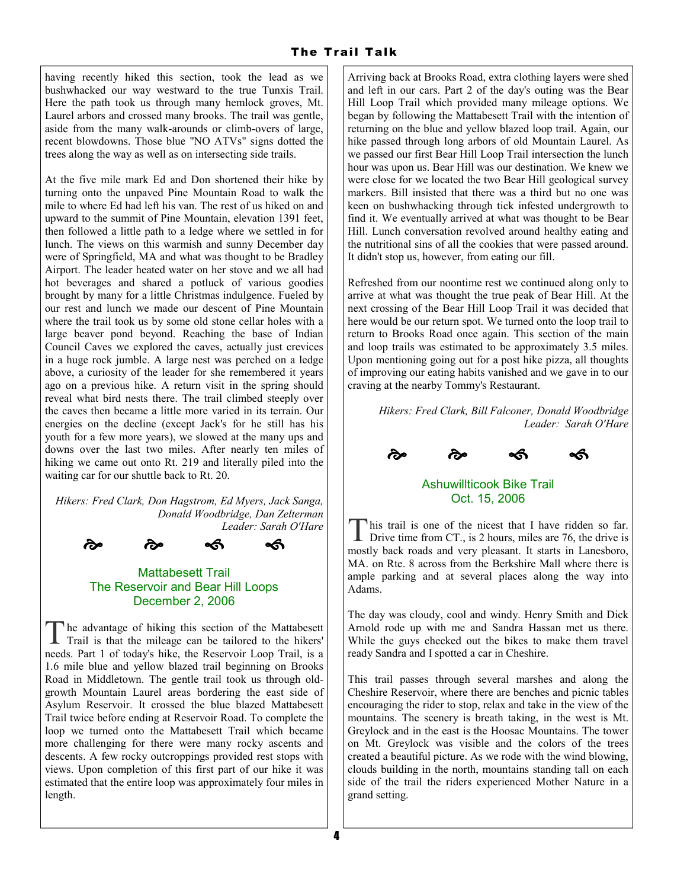having recently hiked this section, took the lead as we bushwhacked our way westward to the true Tunxis Trail. Here the path took us through many hemlock groves, Mt. Laurel arbors and crossed many brooks. The trail was gentle, aside from the many walk-arounds or climb-overs of large, recent blowdowns. Those blue "NO ATVs" signs dotted the trees along the way as well as on intersecting side trails.

At the five mile mark Ed and Don shortened their hike by turning onto the unpaved Pine Mountain Road to walk the mile to where Ed had left his van. The rest of us hiked on and upward to the summit of Pine Mountain, elevation 1391 feet, then followed a little path to a ledge where we settled in for lunch. The views on this warmish and sunny December day were of Springfield, MA and what was thought to be Bradley Airport. The leader heated water on her stove and we all had hot beverages and shared a potluck of various goodies brought by many for a little Christmas indulgence. Fueled by our rest and lunch we made our descent of Pine Mountain where the trail took us by some old stone cellar holes with a large beaver pond beyond. Reaching the base of Indian Council Caves we explored the caves, actually just crevices in a huge rock jumble. A large nest was perched on a ledge above, a curiosity of the leader for she remembered it years ago on a previous hike. A return visit in the spring should reveal what bird nests there. The trail climbed steeply over the caves then became a little more varied in its terrain. Our energies on the decline (except Jack's for he still has his youth for a few more years), we slowed at the many ups and downs over the last two miles. After nearly ten miles of hiking we came out onto Rt. 219 and literally piled into the waiting car for our shuttle back to Rt. 20.

Hikers: Fred Clark, Don Hagstrom, Ed Myers, Jack Sanga, Donald Woodbridge, Dan Zelterman Leader: Sarah O'Hare



### Mattabesett Trail The Reservoir and Bear Hill Loops December 2, 2006

The advantage of hiking this section of the Mattabesett Trail is that the mileage can be tailored to the hikers' needs. Part 1 of today's hike, the Reservoir Loop Trail, is a 1.6 mile blue and yellow blazed trail beginning on Brooks Road in Middletown. The gentle trail took us through oldgrowth Mountain Laurel areas bordering the east side of Asylum Reservoir. It crossed the blue blazed Mattabesett Trail twice before ending at Reservoir Road. To complete the loop we turned onto the Mattabesett Trail which became more challenging for there were many rocky ascents and descents. A few rocky outcroppings provided rest stops with views. Upon completion of this first part of our hike it was estimated that the entire loop was approximately four miles in length.

Arriving back at Brooks Road, extra clothing layers were shed and left in our cars. Part 2 of the day's outing was the Bear Hill Loop Trail which provided many mileage options. We began by following the Mattabesett Trail with the intention of returning on the blue and yellow blazed loop trail. Again, our hike passed through long arbors of old Mountain Laurel. As we passed our first Bear Hill Loop Trail intersection the lunch hour was upon us. Bear Hill was our destination. We knew we were close for we located the two Bear Hill geological survey markers. Bill insisted that there was a third but no one was keen on bushwhacking through tick infested undergrowth to find it. We eventually arrived at what was thought to be Bear Hill. Lunch conversation revolved around healthy eating and the nutritional sins of all the cookies that were passed around. It didn't stop us, however, from eating our fill.

Refreshed from our noontime rest we continued along only to arrive at what was thought the true peak of Bear Hill. At the next crossing of the Bear Hill Loop Trail it was decided that here would be our return spot. We turned onto the loop trail to return to Brooks Road once again. This section of the main and loop trails was estimated to be approximately 3.5 miles. Upon mentioning going out for a post hike pizza, all thoughts of improving our eating habits vanished and we gave in to our craving at the nearby Tommy's Restaurant.

> Hikers: Fred Clark, Bill Falconer, Donald Woodbridge Leader: Sarah O'Hare



# Ashuwillticook Bike Trail Oct. 15, 2006

This trail is one of the nicest that I have ridden so far.<br>Drive time from CT., is 2 hours, miles are 76, the drive is mostly back roads and very pleasant. It starts in Lanesboro, MA. on Rte. 8 across from the Berkshire Mall where there is ample parking and at several places along the way into Adams.

The day was cloudy, cool and windy. Henry Smith and Dick Arnold rode up with me and Sandra Hassan met us there. While the guys checked out the bikes to make them travel ready Sandra and I spotted a car in Cheshire.

This trail passes through several marshes and along the Cheshire Reservoir, where there are benches and picnic tables encouraging the rider to stop, relax and take in the view of the mountains. The scenery is breath taking, in the west is Mt. Greylock and in the east is the Hoosac Mountains. The tower on Mt. Greylock was visible and the colors of the trees created a beautiful picture. As we rode with the wind blowing, clouds building in the north, mountains standing tall on each side of the trail the riders experienced Mother Nature in a grand setting.